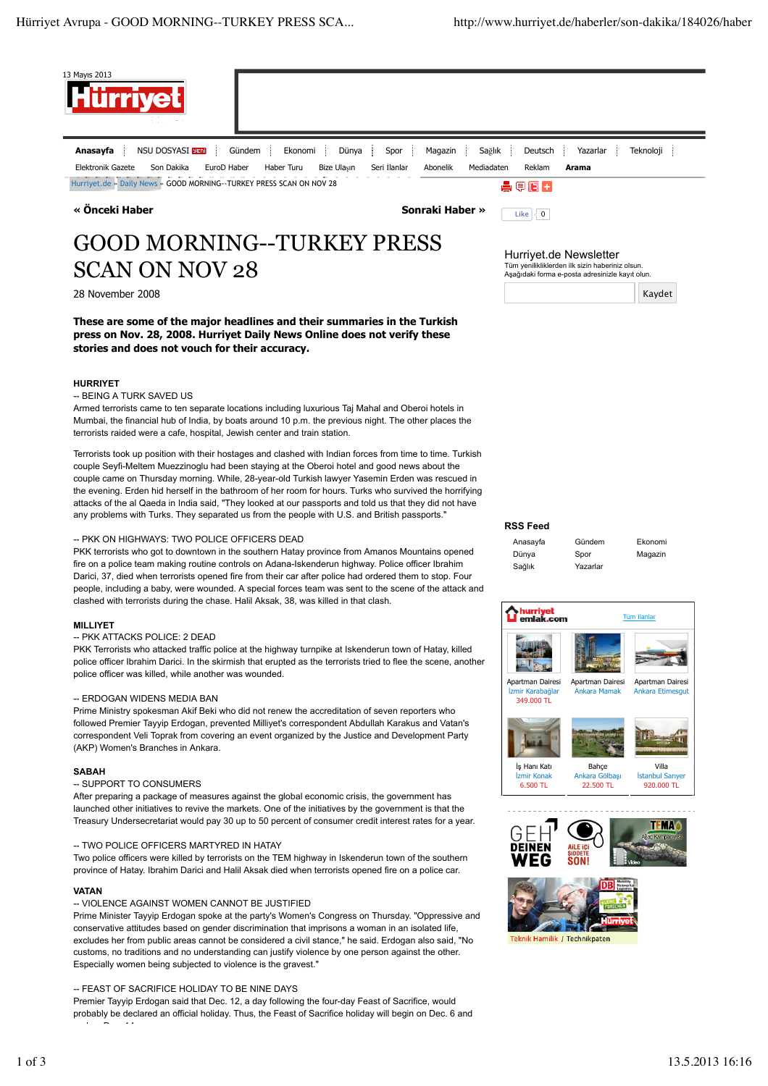

end on Dec. 14.